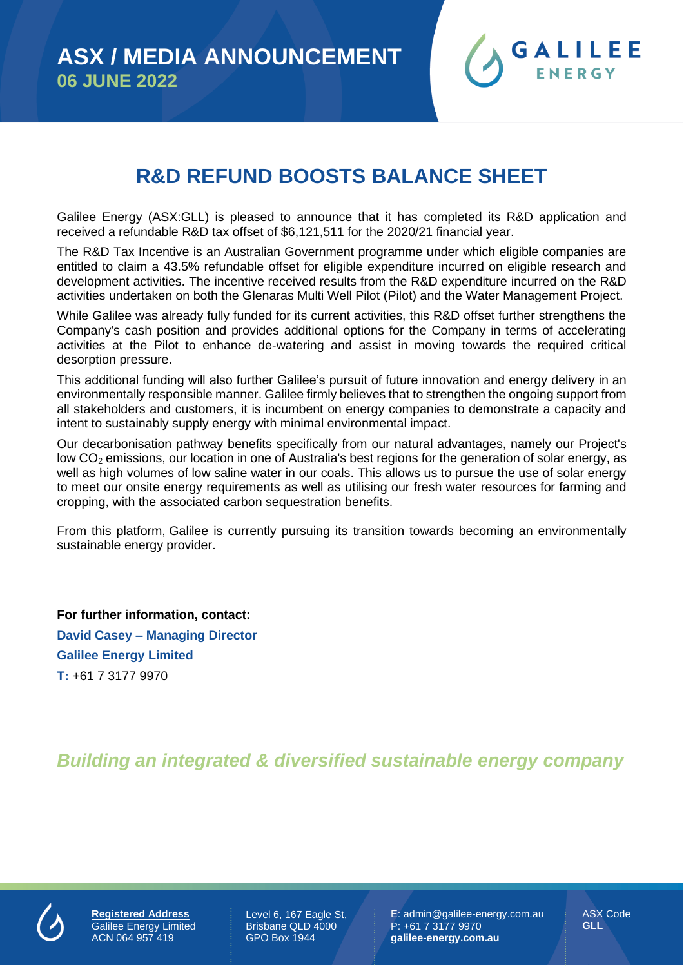

## **R&D REFUND BOOSTS BALANCE SHEET**

Galilee Energy (ASX:GLL) is pleased to announce that it has completed its R&D application and received a refundable R&D tax offset of \$6,121,511 for the 2020/21 financial year.

The R&D Tax Incentive is an Australian Government programme under which eligible companies are entitled to claim a 43.5% refundable offset for eligible expenditure incurred on eligible research and development activities. The incentive received results from the R&D expenditure incurred on the R&D activities undertaken on both the Glenaras Multi Well Pilot (Pilot) and the Water Management Project.

While Galilee was already fully funded for its current activities, this R&D offset further strengthens the Company's cash position and provides additional options for the Company in terms of accelerating activities at the Pilot to enhance de-watering and assist in moving towards the required critical desorption pressure.

This additional funding will also further Galilee's pursuit of future innovation and energy delivery in an environmentally responsible manner. Galilee firmly believes that to strengthen the ongoing support from all stakeholders and customers, it is incumbent on energy companies to demonstrate a capacity and intent to sustainably supply energy with minimal environmental impact.

Our decarbonisation pathway benefits specifically from our natural advantages, namely our Project's low CO<sub>2</sub> emissions, our location in one of Australia's best regions for the generation of solar energy, as well as high volumes of low saline water in our coals. This allows us to pursue the use of solar energy to meet our onsite energy requirements as well as utilising our fresh water resources for farming and cropping, with the associated carbon sequestration benefits.

From this platform, Galilee is currently pursuing its transition towards becoming an environmentally sustainable energy provider.

**For further information, contact: David Casey – Managing Director Galilee Energy Limited T:** +61 7 3177 9970

## *Building an integrated & diversified sustainable energy company*



**Registered Address** Galilee Energy Limited ACN 064 957 419

Level 6, 167 Eagle St, Brisbane QLD 4000 GPO Box 1944

E: admin@galilee-energy.com.au P: +61 7 3177 9970 **galilee-energy.com.au**

ASX Code **GLL**